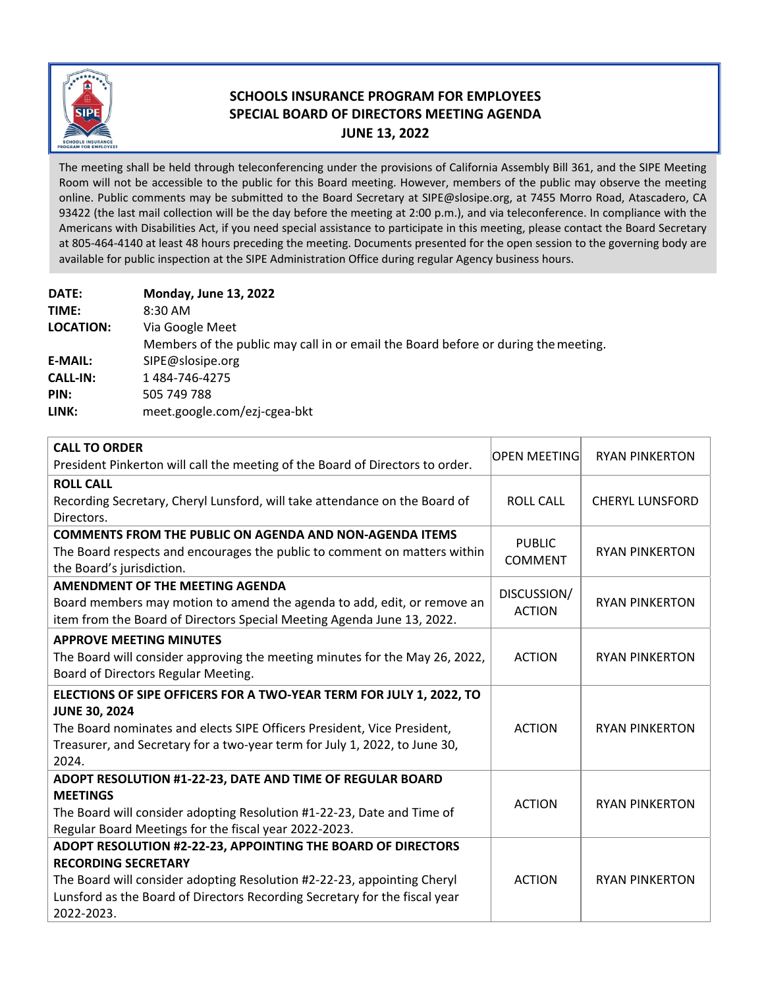

## **SCHOOLS INSURANCE PROGRAM FOR EMPLOYEES SPECIAL BOARD OF DIRECTORS MEETING AGENDA JUNE 13, 2022**

The meeting shall be held through teleconferencing under the provisions of California Assembly Bill 361, and the SIPE Meeting Room will not be accessible to the public for this Board meeting. However, members of the public may observe the meeting online. Public comments may be submitted to the Board Secretary at SIPE@slosipe.org, at 7455 Morro Road, Atascadero, CA 93422 (the last mail collection will be the day before the meeting at 2:00 p.m.), and via teleconference. In compliance with the Americans with Disabilities Act, if you need special assistance to participate in this meeting, please contact the Board Secretary at 805‐464‐4140 at least 48 hours preceding the meeting. Documents presented for the open session to the governing body are available for public inspection at the SIPE Administration Office during regular Agency business hours.

| <b>DATE:</b>     | <b>Monday, June 13, 2022</b>                                                       |
|------------------|------------------------------------------------------------------------------------|
| TIME:            | $8:30$ AM                                                                          |
| <b>LOCATION:</b> | Via Google Meet                                                                    |
|                  | Members of the public may call in or email the Board before or during the meeting. |
| <b>E-MAIL:</b>   | SIPE@slosipe.org                                                                   |
| <b>CALL-IN:</b>  | 1484-746-4275                                                                      |
| PIN:             | 505 749 788                                                                        |
| LINK:            | meet.google.com/ezj-cgea-bkt                                                       |

| <b>CALL TO ORDER</b>                                                          | <b>OPEN MEETING</b> | <b>RYAN PINKERTON</b>  |
|-------------------------------------------------------------------------------|---------------------|------------------------|
| President Pinkerton will call the meeting of the Board of Directors to order. |                     |                        |
| <b>ROLL CALL</b>                                                              |                     |                        |
| Recording Secretary, Cheryl Lunsford, will take attendance on the Board of    | <b>ROLL CALL</b>    | <b>CHERYL LUNSFORD</b> |
| Directors.                                                                    |                     |                        |
| <b>COMMENTS FROM THE PUBLIC ON AGENDA AND NON-AGENDA ITEMS</b>                | <b>PUBLIC</b>       |                        |
| The Board respects and encourages the public to comment on matters within     | <b>COMMENT</b>      | <b>RYAN PINKERTON</b>  |
| the Board's jurisdiction.                                                     |                     |                        |
| <b>AMENDMENT OF THE MEETING AGENDA</b>                                        | DISCUSSION/         |                        |
| Board members may motion to amend the agenda to add, edit, or remove an       | <b>ACTION</b>       | <b>RYAN PINKERTON</b>  |
| item from the Board of Directors Special Meeting Agenda June 13, 2022.        |                     |                        |
| <b>APPROVE MEETING MINUTES</b>                                                |                     |                        |
| The Board will consider approving the meeting minutes for the May 26, 2022,   | <b>ACTION</b>       | <b>RYAN PINKERTON</b>  |
| Board of Directors Regular Meeting.                                           |                     |                        |
| ELECTIONS OF SIPE OFFICERS FOR A TWO-YEAR TERM FOR JULY 1, 2022, TO           |                     |                        |
| <b>JUNE 30, 2024</b>                                                          |                     |                        |
| The Board nominates and elects SIPE Officers President, Vice President,       | <b>ACTION</b>       | <b>RYAN PINKERTON</b>  |
| Treasurer, and Secretary for a two-year term for July 1, 2022, to June 30,    |                     |                        |
| 2024.                                                                         |                     |                        |
| ADOPT RESOLUTION #1-22-23, DATE AND TIME OF REGULAR BOARD                     |                     |                        |
| <b>MEETINGS</b>                                                               | <b>ACTION</b>       | <b>RYAN PINKERTON</b>  |
| The Board will consider adopting Resolution #1-22-23, Date and Time of        |                     |                        |
| Regular Board Meetings for the fiscal year 2022-2023.                         |                     |                        |
| ADOPT RESOLUTION #2-22-23, APPOINTING THE BOARD OF DIRECTORS                  |                     |                        |
| <b>RECORDING SECRETARY</b>                                                    | <b>ACTION</b>       | <b>RYAN PINKERTON</b>  |
| The Board will consider adopting Resolution #2-22-23, appointing Cheryl       |                     |                        |
| Lunsford as the Board of Directors Recording Secretary for the fiscal year    |                     |                        |
| 2022-2023.                                                                    |                     |                        |